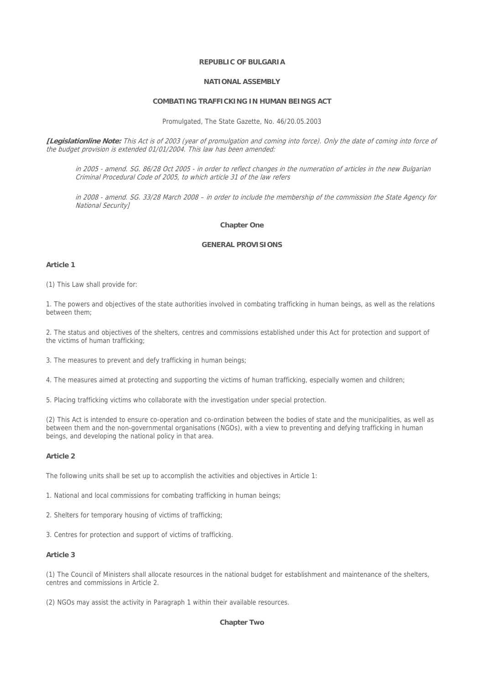## **REPUBLIC OF BULGARIA**

### **NATIONAL ASSEMBLY**

## **COMBATING TRAFFICKING IN HUMAN BEINGS ACT**

Promulgated, The State Gazette, No. 46/20.05.2003

**[Legislationline Note:** This Act is of 2003 (year of promulgation and coming into force). Only the date of coming into force of the budget provision is extended 01/01/2004. This law has been amended:

in 2005 - amend. SG. 86/28 Oct 2005 - in order to reflect changes in the numeration of articles in the new Bulgarian Criminal Procedural Code of 2005, to which article 31 of the law refers

in 2008 - amend. SG. 33/28 March 2008 – in order to include the membership of the commission the State Agency for National Security]

### **Chapter One**

## **GENERAL PROVISIONS**

## **Article 1**

(1) This Law shall provide for:

1. The powers and objectives of the state authorities involved in combating trafficking in human beings, as well as the relations between them;

2. The status and objectives of the shelters, centres and commissions established under this Act for protection and support of the victims of human trafficking;

3. The measures to prevent and defy trafficking in human beings;

4. The measures aimed at protecting and supporting the victims of human trafficking, especially women and children;

5. Placing trafficking victims who collaborate with the investigation under special protection.

(2) This Act is intended to ensure co-operation and co-ordination between the bodies of state and the municipalities, as well as between them and the non-governmental organisations (NGOs), with a view to preventing and defying trafficking in human beings, and developing the national policy in that area.

## **Article 2**

The following units shall be set up to accomplish the activities and objectives in Article 1:

1. National and local commissions for combating trafficking in human beings;

2. Shelters for temporary housing of victims of trafficking;

3. Centres for protection and support of victims of trafficking.

## **Article 3**

(1) The Council of Ministers shall allocate resources in the national budget for establishment and maintenance of the shelters, centres and commissions in Article 2.

(2) NGOs may assist the activity in Paragraph 1 within their available resources.

## **Chapter Two**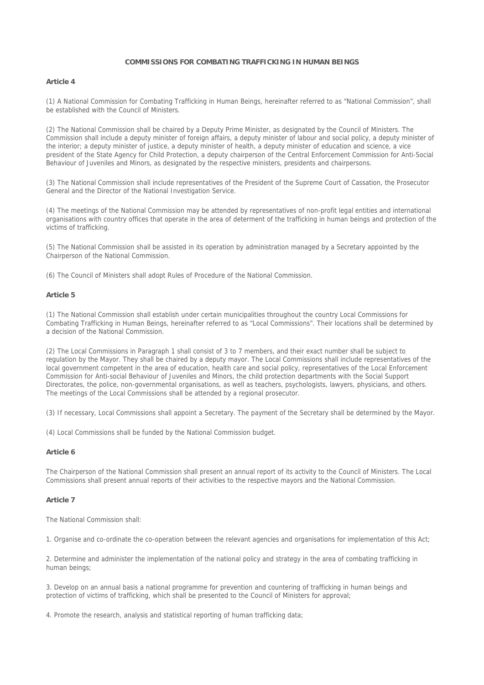### **COMMISSIONS FOR COMBATING TRAFFICKING IN HUMAN BEINGS**

### **Article 4**

(1) A National Commission for Combating Trafficking in Human Beings, hereinafter referred to as "National Commission", shall be established with the Council of Ministers.

(2) The National Commission shall be chaired by a Deputy Prime Minister, as designated by the Council of Ministers. The Commission shall include a deputy minister of foreign affairs, a deputy minister of labour and social policy, a deputy minister of the interior; a deputy minister of justice, a deputy minister of health, a deputy minister of education and science, a vice president of the State Agency for Child Protection, a deputy chairperson of the Central Enforcement Commission for Anti-Social Behaviour of Juveniles and Minors, as designated by the respective ministers, presidents and chairpersons.

(3) The National Commission shall include representatives of the President of the Supreme Court of Cassation, the Prosecutor General and the Director of the National Investigation Service.

(4) The meetings of the National Commission may be attended by representatives of non-profit legal entities and international organisations with country offices that operate in the area of determent of the trafficking in human beings and protection of the victims of trafficking.

(5) The National Commission shall be assisted in its operation by administration managed by a Secretary appointed by the Chairperson of the National Commission.

(6) The Council of Ministers shall adopt Rules of Procedure of the National Commission.

#### **Article 5**

(1) The National Commission shall establish under certain municipalities throughout the country Local Commissions for Combating Trafficking in Human Beings, hereinafter referred to as "Local Commissions". Their locations shall be determined by a decision of the National Commission.

(2) The Local Commissions in Paragraph 1 shall consist of 3 to 7 members, and their exact number shall be subject to regulation by the Mayor. They shall be chaired by a deputy mayor. The Local Commissions shall include representatives of the local government competent in the area of education, health care and social policy, representatives of the Local Enforcement Commission for Anti-social Behaviour of Juveniles and Minors, the child protection departments with the Social Support Directorates, the police, non-governmental organisations, as well as teachers, psychologists, lawyers, physicians, and others. The meetings of the Local Commissions shall be attended by a regional prosecutor.

(3) If necessary, Local Commissions shall appoint a Secretary. The payment of the Secretary shall be determined by the Mayor.

(4) Local Commissions shall be funded by the National Commission budget.

### **Article 6**

The Chairperson of the National Commission shall present an annual report of its activity to the Council of Ministers. The Local Commissions shall present annual reports of their activities to the respective mayors and the National Commission.

### **Article 7**

The National Commission shall:

1. Organise and co-ordinate the co-operation between the relevant agencies and organisations for implementation of this Act;

2. Determine and administer the implementation of the national policy and strategy in the area of combating trafficking in human beings;

3. Develop on an annual basis a national programme for prevention and countering of trafficking in human beings and protection of victims of trafficking, which shall be presented to the Council of Ministers for approval;

4. Promote the research, analysis and statistical reporting of human trafficking data;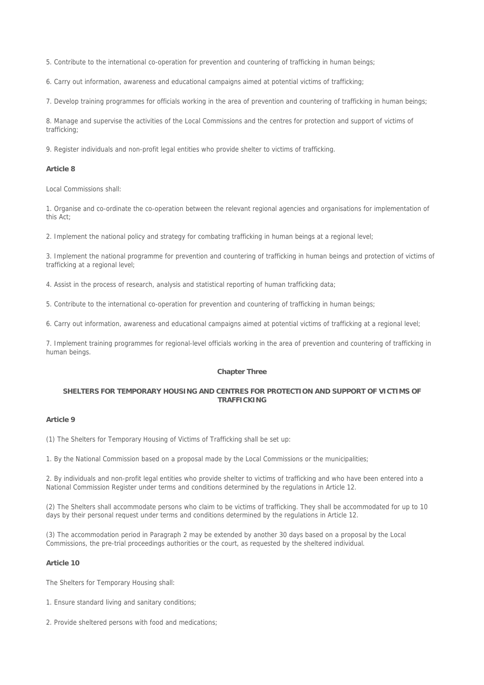5. Contribute to the international co-operation for prevention and countering of trafficking in human beings;

6. Carry out information, awareness and educational campaigns aimed at potential victims of trafficking;

7. Develop training programmes for officials working in the area of prevention and countering of trafficking in human beings;

8. Manage and supervise the activities of the Local Commissions and the centres for protection and support of victims of trafficking;

9. Register individuals and non-profit legal entities who provide shelter to victims of trafficking.

#### **Article 8**

Local Commissions shall:

1. Organise and co-ordinate the co-operation between the relevant regional agencies and organisations for implementation of this Act;

2. Implement the national policy and strategy for combating trafficking in human beings at a regional level;

3. Implement the national programme for prevention and countering of trafficking in human beings and protection of victims of trafficking at a regional level;

4. Assist in the process of research, analysis and statistical reporting of human trafficking data;

5. Contribute to the international co-operation for prevention and countering of trafficking in human beings;

6. Carry out information, awareness and educational campaigns aimed at potential victims of trafficking at a regional level;

7. Implement training programmes for regional-level officials working in the area of prevention and countering of trafficking in human beings.

### **Chapter Three**

## **SHELTERS FOR TEMPORARY HOUSING AND CENTRES FOR PROTECTION AND SUPPORT OF VICTIMS OF TRAFFICKING**

### **Article 9**

(1) The Shelters for Temporary Housing of Victims of Trafficking shall be set up:

1. By the National Commission based on a proposal made by the Local Commissions or the municipalities;

2. By individuals and non-profit legal entities who provide shelter to victims of trafficking and who have been entered into a National Commission Register under terms and conditions determined by the regulations in Article 12.

(2) The Shelters shall accommodate persons who claim to be victims of trafficking. They shall be accommodated for up to 10 days by their personal request under terms and conditions determined by the regulations in Article 12.

(3) The accommodation period in Paragraph 2 may be extended by another 30 days based on a proposal by the Local Commissions, the pre-trial proceedings authorities or the court, as requested by the sheltered individual.

## **Article 10**

The Shelters for Temporary Housing shall:

- 1. Ensure standard living and sanitary conditions;
- 2. Provide sheltered persons with food and medications;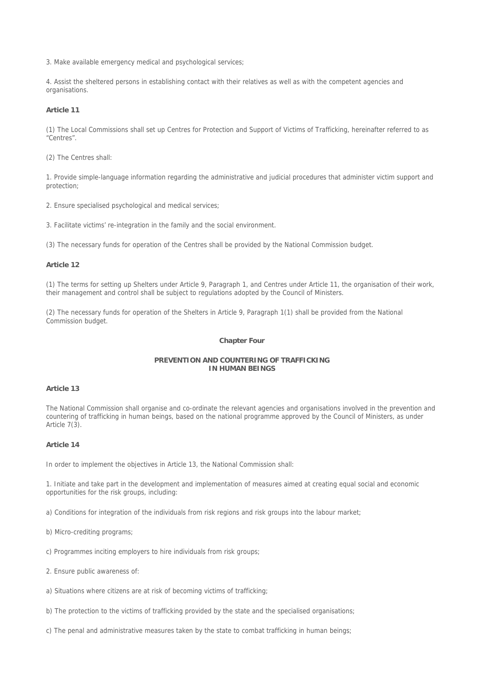3. Make available emergency medical and psychological services;

4. Assist the sheltered persons in establishing contact with their relatives as well as with the competent agencies and organisations.

### **Article 11**

(1) The Local Commissions shall set up Centres for Protection and Support of Victims of Trafficking, hereinafter referred to as "Centres".

(2) The Centres shall:

1. Provide simple-language information regarding the administrative and judicial procedures that administer victim support and protection;

2. Ensure specialised psychological and medical services;

3. Facilitate victims' re-integration in the family and the social environment.

(3) The necessary funds for operation of the Centres shall be provided by the National Commission budget.

## **Article 12**

(1) The terms for setting up Shelters under Article 9, Paragraph 1, and Centres under Article 11, the organisation of their work, their management and control shall be subject to regulations adopted by the Council of Ministers.

(2) The necessary funds for operation of the Shelters in Article 9, Paragraph 1(1) shall be provided from the National Commission budget.

### **Chapter Four**

## **PREVENTION AND COUNTERING OF TRAFFICKING IN HUMAN BEINGS**

# **Article 13**

The National Commission shall organise and co-ordinate the relevant agencies and organisations involved in the prevention and countering of trafficking in human beings, based on the national programme approved by the Council of Ministers, as under Article 7(3).

### **Article 14**

In order to implement the objectives in Article 13, the National Commission shall:

1. Initiate and take part in the development and implementation of measures aimed at creating equal social and economic opportunities for the risk groups, including:

a) Conditions for integration of the individuals from risk regions and risk groups into the labour market;

- b) Micro-crediting programs;
- c) Programmes inciting employers to hire individuals from risk groups;
- 2. Ensure public awareness of:
- a) Situations where citizens are at risk of becoming victims of trafficking;
- b) The protection to the victims of trafficking provided by the state and the specialised organisations;
- c) The penal and administrative measures taken by the state to combat trafficking in human beings;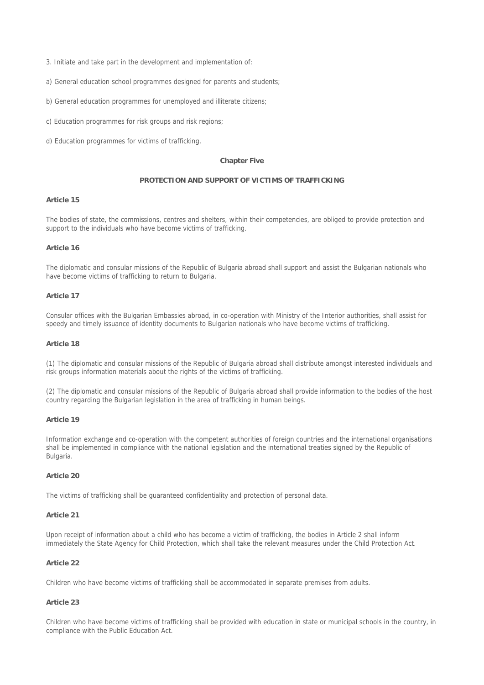- 3. Initiate and take part in the development and implementation of:
- a) General education school programmes designed for parents and students;
- b) General education programmes for unemployed and illiterate citizens;
- c) Education programmes for risk groups and risk regions;
- d) Education programmes for victims of trafficking.

#### **Chapter Five**

#### **PROTECTION AND SUPPORT OF VICTIMS OF TRAFFICKING**

## **Article 15**

The bodies of state, the commissions, centres and shelters, within their competencies, are obliged to provide protection and support to the individuals who have become victims of trafficking.

### **Article 16**

The diplomatic and consular missions of the Republic of Bulgaria abroad shall support and assist the Bulgarian nationals who have become victims of trafficking to return to Bulgaria.

### **Article 17**

Consular offices with the Bulgarian Embassies abroad, in co-operation with Ministry of the Interior authorities, shall assist for speedy and timely issuance of identity documents to Bulgarian nationals who have become victims of trafficking.

### **Article 18**

(1) The diplomatic and consular missions of the Republic of Bulgaria abroad shall distribute amongst interested individuals and risk groups information materials about the rights of the victims of trafficking.

(2) The diplomatic and consular missions of the Republic of Bulgaria abroad shall provide information to the bodies of the host country regarding the Bulgarian legislation in the area of trafficking in human beings.

#### **Article 19**

Information exchange and co-operation with the competent authorities of foreign countries and the international organisations shall be implemented in compliance with the national legislation and the international treaties signed by the Republic of Bulgaria.

## **Article 20**

The victims of trafficking shall be guaranteed confidentiality and protection of personal data.

### **Article 21**

Upon receipt of information about a child who has become a victim of trafficking, the bodies in Article 2 shall inform immediately the State Agency for Child Protection, which shall take the relevant measures under the Child Protection Act.

### **Article 22**

Children who have become victims of trafficking shall be accommodated in separate premises from adults.

### **Article 23**

Children who have become victims of trafficking shall be provided with education in state or municipal schools in the country, in compliance with the Public Education Act.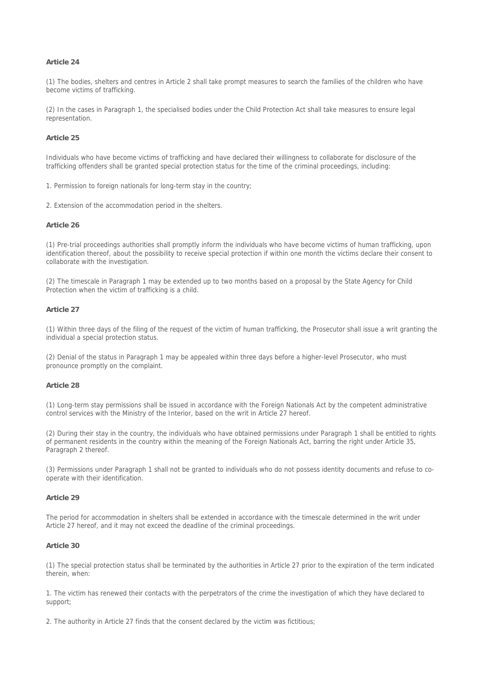### **Article 24**

(1) The bodies, shelters and centres in Article 2 shall take prompt measures to search the families of the children who have become victims of trafficking.

(2) In the cases in Paragraph 1, the specialised bodies under the Child Protection Act shall take measures to ensure legal representation.

## **Article 25**

Individuals who have become victims of trafficking and have declared their willingness to collaborate for disclosure of the trafficking offenders shall be granted special protection status for the time of the criminal proceedings, including:

1. Permission to foreign nationals for long-term stay in the country;

2. Extension of the accommodation period in the shelters.

### **Article 26**

(1) Pre-trial proceedings authorities shall promptly inform the individuals who have become victims of human trafficking, upon identification thereof, about the possibility to receive special protection if within one month the victims declare their consent to collaborate with the investigation.

(2) The timescale in Paragraph 1 may be extended up to two months based on a proposal by the State Agency for Child Protection when the victim of trafficking is a child.

## **Article 27**

(1) Within three days of the filing of the request of the victim of human trafficking, the Prosecutor shall issue a writ granting the individual a special protection status.

(2) Denial of the status in Paragraph 1 may be appealed within three days before a higher-level Prosecutor, who must pronounce promptly on the complaint.

#### **Article 28**

(1) Long-term stay permissions shall be issued in accordance with the Foreign Nationals Act by the competent administrative control services with the Ministry of the Interior, based on the writ in Article 27 hereof.

(2) During their stay in the country, the individuals who have obtained permissions under Paragraph 1 shall be entitled to rights of permanent residents in the country within the meaning of the Foreign Nationals Act, barring the right under Article 35, Paragraph 2 thereof.

(3) Permissions under Paragraph 1 shall not be granted to individuals who do not possess identity documents and refuse to cooperate with their identification.

### **Article 29**

The period for accommodation in shelters shall be extended in accordance with the timescale determined in the writ under Article 27 hereof, and it may not exceed the deadline of the criminal proceedings.

### **Article 30**

(1) The special protection status shall be terminated by the authorities in Article 27 prior to the expiration of the term indicated therein, when:

1. The victim has renewed their contacts with the perpetrators of the crime the investigation of which they have declared to support;

2. The authority in Article 27 finds that the consent declared by the victim was fictitious;